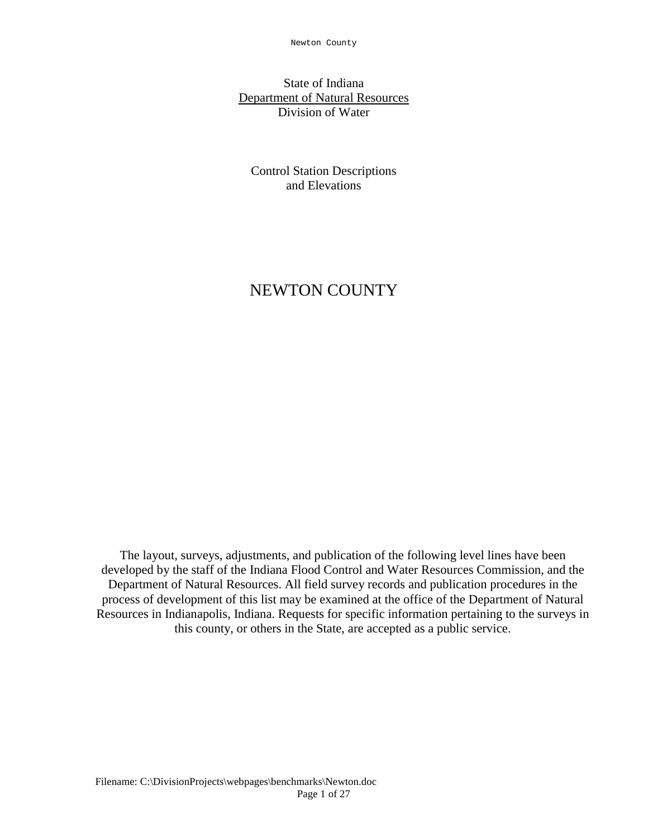Newton County

# State of Indiana Department of Natural Resources Division of Water

Control Station Descriptions and Elevations

# NEWTON COUNTY

The layout, surveys, adjustments, and publication of the following level lines have been developed by the staff of the Indiana Flood Control and Water Resources Commission, and the Department of Natural Resources. All field survey records and publication procedures in the process of development of this list may be examined at the office of the Department of Natural Resources in Indianapolis, Indiana. Requests for specific information pertaining to the surveys in this county, or others in the State, are accepted as a public service.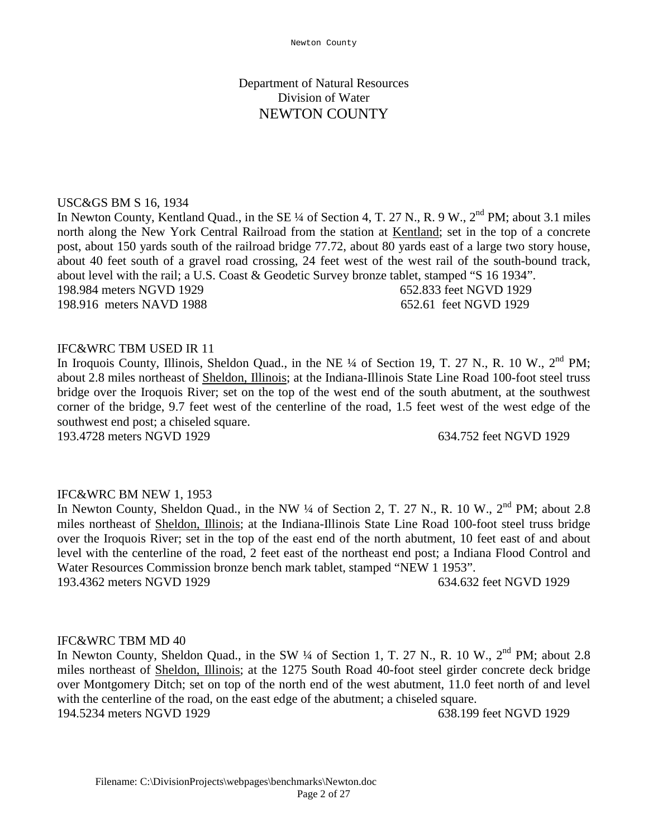## USC&GS BM S 16, 1934

In Newton County, Kentland Quad., in the SE ¼ of Section 4, T. 27 N., R. 9 W., 2<sup>nd</sup> PM; about 3.1 miles north along the New York Central Railroad from the station at Kentland; set in the top of a concrete post, about 150 yards south of the railroad bridge 77.72, about 80 yards east of a large two story house, about 40 feet south of a gravel road crossing, 24 feet west of the west rail of the south-bound track, about level with the rail; a U.S. Coast & Geodetic Survey bronze tablet, stamped "S 16 1934". 198.984 meters NGVD 1929 652.833 feet NGVD 1929 198.916 meters NAVD 1988 652.61 feet NGVD 1929

#### IFC&WRC TBM USED IR 11

In Iroquois County, Illinois, Sheldon Quad., in the NE  $\frac{1}{4}$  of Section 19, T. 27 N., R. 10 W., 2<sup>nd</sup> PM; about 2.8 miles northeast of Sheldon, Illinois; at the Indiana-Illinois State Line Road 100-foot steel truss bridge over the Iroquois River; set on the top of the west end of the south abutment, at the southwest corner of the bridge, 9.7 feet west of the centerline of the road, 1.5 feet west of the west edge of the southwest end post; a chiseled square.

193.4728 meters NGVD 1929 634.752 feet NGVD 1929

#### IFC&WRC BM NEW 1, 1953

In Newton County, Sheldon Quad., in the NW  $\frac{1}{4}$  of Section 2, T. 27 N., R. 10 W.,  $2^{nd}$  PM; about 2.8 miles northeast of Sheldon, Illinois; at the Indiana-Illinois State Line Road 100-foot steel truss bridge over the Iroquois River; set in the top of the east end of the north abutment, 10 feet east of and about level with the centerline of the road, 2 feet east of the northeast end post; a Indiana Flood Control and Water Resources Commission bronze bench mark tablet, stamped "NEW 1 1953". 193.4362 meters NGVD 1929 634.632 feet NGVD 1929

#### IFC&WRC TBM MD 40

In Newton County, Sheldon Quad., in the SW  $\frac{1}{4}$  of Section 1, T. 27 N., R. 10 W.,  $2^{nd}$  PM; about 2.8 miles northeast of Sheldon, Illinois; at the 1275 South Road 40-foot steel girder concrete deck bridge over Montgomery Ditch; set on top of the north end of the west abutment, 11.0 feet north of and level with the centerline of the road, on the east edge of the abutment; a chiseled square. 194.5234 meters NGVD 1929 638.199 feet NGVD 1929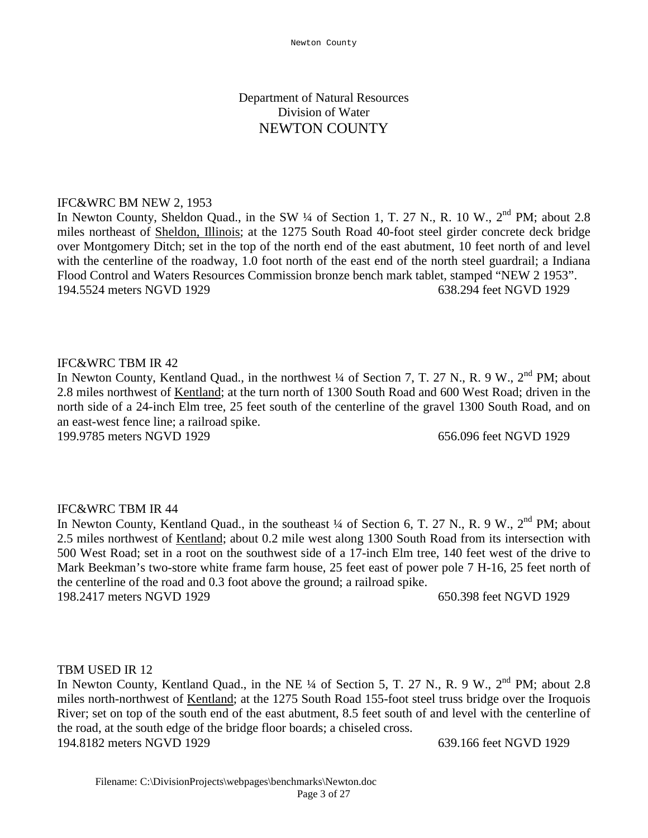# IFC&WRC BM NEW 2, 1953

In Newton County, Sheldon Quad., in the SW  $\frac{1}{4}$  of Section 1, T. 27 N., R. 10 W.,  $2^{nd}$  PM; about 2.8 miles northeast of Sheldon, Illinois; at the 1275 South Road 40-foot steel girder concrete deck bridge over Montgomery Ditch; set in the top of the north end of the east abutment, 10 feet north of and level with the centerline of the roadway, 1.0 foot north of the east end of the north steel guardrail; a Indiana Flood Control and Waters Resources Commission bronze bench mark tablet, stamped "NEW 2 1953". 194.5524 meters NGVD 1929 638.294 feet NGVD 1929

# IFC&WRC TBM IR 42

In Newton County, Kentland Quad., in the northwest <sup>1</sup>/4 of Section 7, T. 27 N., R. 9 W., 2<sup>nd</sup> PM: about 2.8 miles northwest of Kentland; at the turn north of 1300 South Road and 600 West Road; driven in the north side of a 24-inch Elm tree, 25 feet south of the centerline of the gravel 1300 South Road, and on an east-west fence line; a railroad spike.

199.9785 meters NGVD 1929 656.096 feet NGVD 1929

# IFC&WRC TBM IR 44

In Newton County, Kentland Quad., in the southeast  $\frac{1}{4}$  of Section 6, T. 27 N., R. 9 W., 2<sup>nd</sup> PM; about 2.5 miles northwest of Kentland; about 0.2 mile west along 1300 South Road from its intersection with 500 West Road; set in a root on the southwest side of a 17-inch Elm tree, 140 feet west of the drive to Mark Beekman's two-store white frame farm house, 25 feet east of power pole 7 H-16, 25 feet north of the centerline of the road and 0.3 foot above the ground; a railroad spike.

198.2417 meters NGVD 1929 650.398 feet NGVD 1929

## TBM USED IR 12

In Newton County, Kentland Quad., in the NE 1/4 of Section 5, T. 27 N., R. 9 W., 2<sup>nd</sup> PM; about 2.8 miles north-northwest of Kentland; at the 1275 South Road 155-foot steel truss bridge over the Iroquois River; set on top of the south end of the east abutment, 8.5 feet south of and level with the centerline of the road, at the south edge of the bridge floor boards; a chiseled cross. 194.8182 meters NGVD 1929 639.166 feet NGVD 1929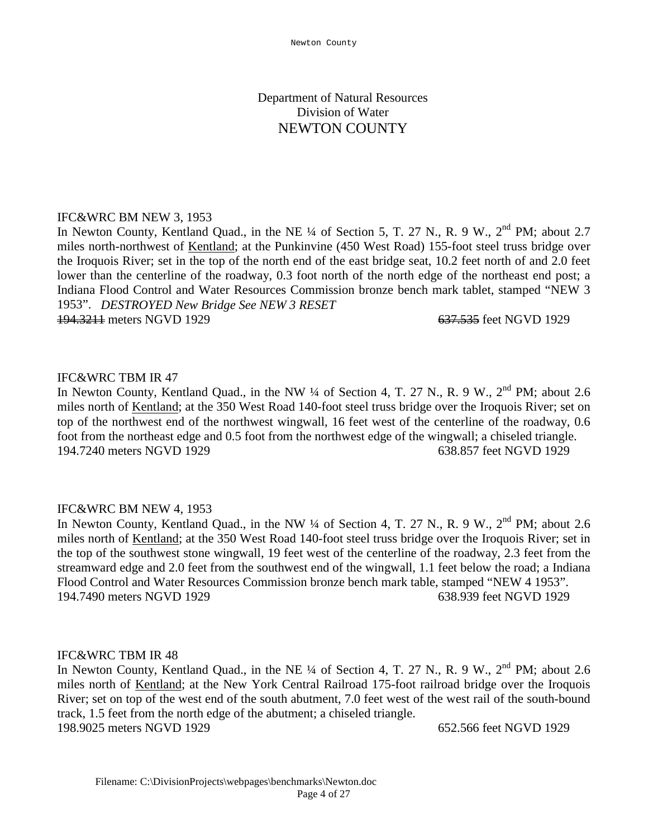#### IFC&WRC BM NEW 3, 1953

In Newton County, Kentland Quad., in the NE  $\frac{1}{4}$  of Section 5, T. 27 N., R. 9 W.,  $2^{nd}$  PM; about 2.7 miles north-northwest of Kentland; at the Punkinvine (450 West Road) 155-foot steel truss bridge over the Iroquois River; set in the top of the north end of the east bridge seat, 10.2 feet north of and 2.0 feet lower than the centerline of the roadway, 0.3 foot north of the north edge of the northeast end post; a Indiana Flood Control and Water Resources Commission bronze bench mark tablet, stamped "NEW 3 1953". *DESTROYED New Bridge See NEW 3 RESET*

194.3211 meters NGVD 1929 **637.535** feet NGVD 1929

# IFC&WRC TBM IR 47

In Newton County, Kentland Quad., in the NW  $\frac{1}{4}$  of Section 4, T. 27 N., R. 9 W.,  $2^{nd}$  PM; about 2.6 miles north of Kentland; at the 350 West Road 140-foot steel truss bridge over the Iroquois River; set on top of the northwest end of the northwest wingwall, 16 feet west of the centerline of the roadway, 0.6 foot from the northeast edge and 0.5 foot from the northwest edge of the wingwall; a chiseled triangle. 194.7240 meters NGVD 1929 638.857 feet NGVD 1929

# IFC&WRC BM NEW 4, 1953

In Newton County, Kentland Quad., in the NW  $\frac{1}{4}$  of Section 4, T. 27 N., R. 9 W.,  $2^{nd}$  PM; about 2.6 miles north of Kentland; at the 350 West Road 140-foot steel truss bridge over the Iroquois River; set in the top of the southwest stone wingwall, 19 feet west of the centerline of the roadway, 2.3 feet from the streamward edge and 2.0 feet from the southwest end of the wingwall, 1.1 feet below the road; a Indiana Flood Control and Water Resources Commission bronze bench mark table, stamped "NEW 4 1953". 194.7490 meters NGVD 1929 638.939 feet NGVD 1929

#### IFC&WRC TBM IR 48

In Newton County, Kentland Quad., in the NE <sup>1/4</sup> of Section 4, T. 27 N., R. 9 W., 2<sup>nd</sup> PM; about 2.6 miles north of Kentland; at the New York Central Railroad 175-foot railroad bridge over the Iroquois River; set on top of the west end of the south abutment, 7.0 feet west of the west rail of the south-bound track, 1.5 feet from the north edge of the abutment; a chiseled triangle. 198.9025 meters NGVD 1929 652.566 feet NGVD 1929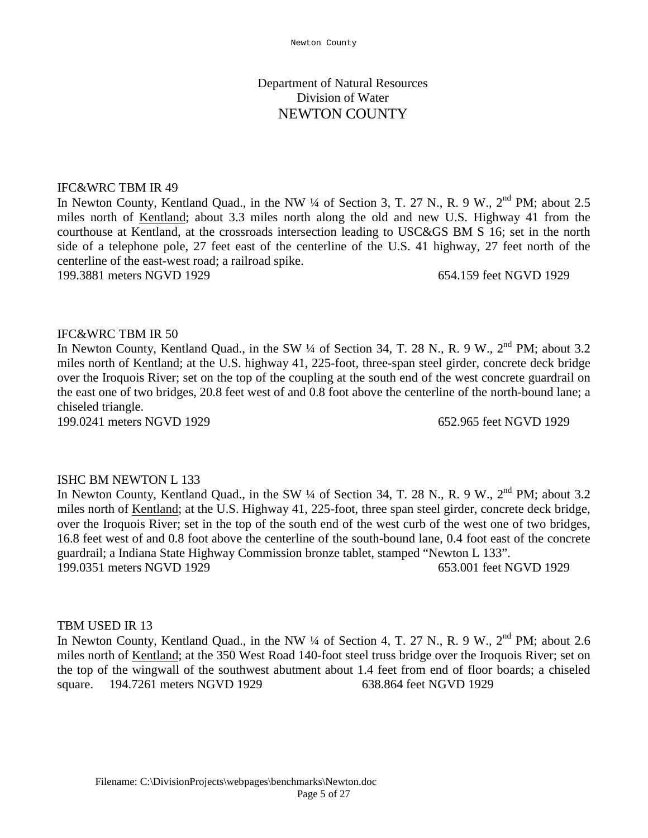#### IFC&WRC TBM IR 49

In Newton County, Kentland Quad., in the NW  $\frac{1}{4}$  of Section 3, T. 27 N., R. 9 W.,  $2^{nd}$  PM; about 2.5 miles north of Kentland; about 3.3 miles north along the old and new U.S. Highway 41 from the courthouse at Kentland, at the crossroads intersection leading to USC&GS BM S 16; set in the north side of a telephone pole, 27 feet east of the centerline of the U.S. 41 highway, 27 feet north of the centerline of the east-west road; a railroad spike.

199.3881 meters NGVD 1929 654.159 feet NGVD 1929

# IFC&WRC TBM IR 50

In Newton County, Kentland Quad., in the SW 1/4 of Section 34, T. 28 N., R. 9 W., 2<sup>nd</sup> PM; about 3.2 miles north of Kentland; at the U.S. highway 41, 225-foot, three-span steel girder, concrete deck bridge over the Iroquois River; set on the top of the coupling at the south end of the west concrete guardrail on the east one of two bridges, 20.8 feet west of and 0.8 foot above the centerline of the north-bound lane; a chiseled triangle.

199.0241 meters NGVD 1929 652.965 feet NGVD 1929

#### ISHC BM NEWTON L 133

In Newton County, Kentland Quad., in the SW  $\frac{1}{4}$  of Section 34, T. 28 N., R. 9 W.,  $2^{nd}$  PM; about 3.2 miles north of Kentland; at the U.S. Highway 41, 225-foot, three span steel girder, concrete deck bridge, over the Iroquois River; set in the top of the south end of the west curb of the west one of two bridges, 16.8 feet west of and 0.8 foot above the centerline of the south-bound lane, 0.4 foot east of the concrete guardrail; a Indiana State Highway Commission bronze tablet, stamped "Newton L 133". 199.0351 meters NGVD 1929 653.001 feet NGVD 1929

#### TBM USED IR 13

In Newton County, Kentland Quad., in the NW ¼ of Section 4, T. 27 N., R. 9 W., 2<sup>nd</sup> PM; about 2.6 miles north of Kentland; at the 350 West Road 140-foot steel truss bridge over the Iroquois River; set on the top of the wingwall of the southwest abutment about 1.4 feet from end of floor boards; a chiseled square. 194.7261 meters NGVD 1929 638.864 feet NGVD 1929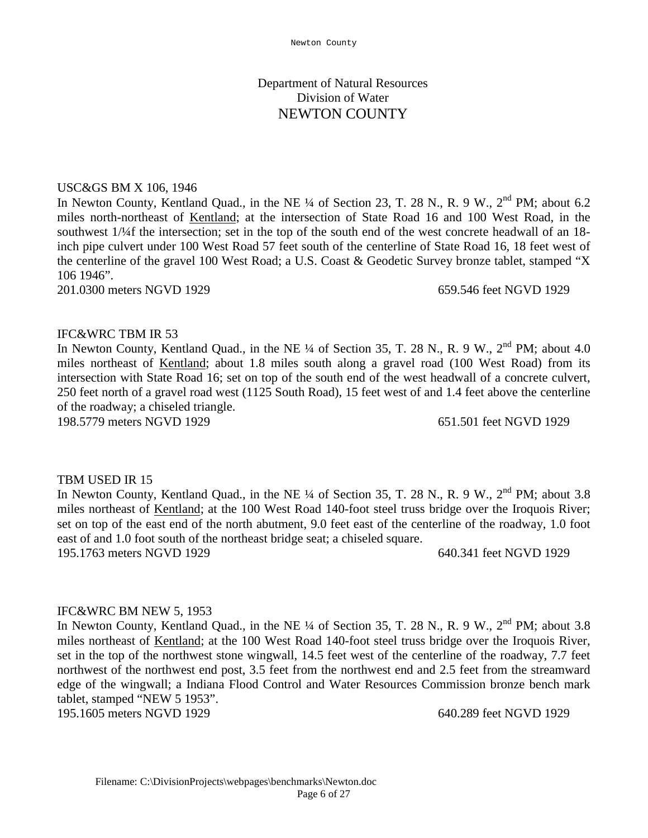# USC&GS BM X 106, 1946

In Newton County, Kentland Quad., in the NE ¼ of Section 23, T. 28 N., R. 9 W., 2<sup>nd</sup> PM; about 6.2 miles north-northeast of Kentland; at the intersection of State Road 16 and 100 West Road, in the southwest  $1/4$  f the intersection; set in the top of the south end of the west concrete headwall of an 18inch pipe culvert under 100 West Road 57 feet south of the centerline of State Road 16, 18 feet west of the centerline of the gravel 100 West Road; a U.S. Coast & Geodetic Survey bronze tablet, stamped "X 106 1946".

201.0300 meters NGVD 1929 659.546 feet NGVD 1929

# IFC&WRC TBM IR 53

In Newton County, Kentland Quad., in the NE  $\frac{1}{4}$  of Section 35, T. 28 N., R. 9 W.,  $2^{nd}$  PM; about 4.0 miles northeast of Kentland; about 1.8 miles south along a gravel road (100 West Road) from its intersection with State Road 16; set on top of the south end of the west headwall of a concrete culvert, 250 feet north of a gravel road west (1125 South Road), 15 feet west of and 1.4 feet above the centerline of the roadway; a chiseled triangle.

198.5779 meters NGVD 1929 651.501 feet NGVD 1929

#### TBM USED IR 15

In Newton County, Kentland Quad., in the NE ¼ of Section 35, T. 28 N., R. 9 W., 2<sup>nd</sup> PM; about 3.8 miles northeast of Kentland; at the 100 West Road 140-foot steel truss bridge over the Iroquois River; set on top of the east end of the north abutment, 9.0 feet east of the centerline of the roadway, 1.0 foot east of and 1.0 foot south of the northeast bridge seat; a chiseled square.

195.1763 meters NGVD 1929 640.341 feet NGVD 1929

# IFC&WRC BM NEW 5, 1953

In Newton County, Kentland Quad., in the NE ¼ of Section 35, T. 28 N., R. 9 W., 2<sup>nd</sup> PM; about 3.8 miles northeast of Kentland; at the 100 West Road 140-foot steel truss bridge over the Iroquois River, set in the top of the northwest stone wingwall, 14.5 feet west of the centerline of the roadway, 7.7 feet northwest of the northwest end post, 3.5 feet from the northwest end and 2.5 feet from the streamward edge of the wingwall; a Indiana Flood Control and Water Resources Commission bronze bench mark tablet, stamped "NEW 5 1953".

195.1605 meters NGVD 1929 640.289 feet NGVD 1929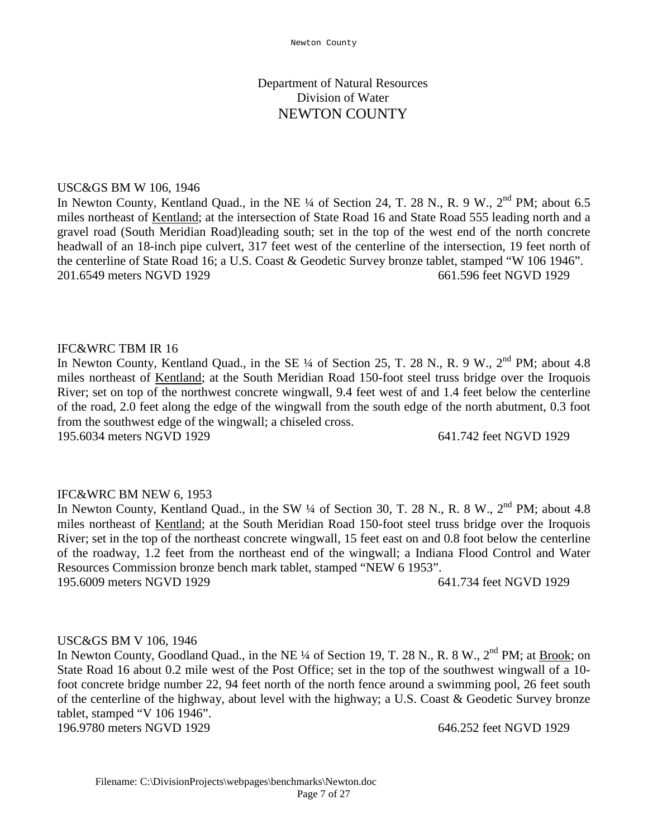## USC&GS BM W 106, 1946

In Newton County, Kentland Quad., in the NE  $\frac{1}{4}$  of Section 24, T. 28 N., R. 9 W.,  $2^{nd}$  PM; about 6.5 miles northeast of Kentland; at the intersection of State Road 16 and State Road 555 leading north and a gravel road (South Meridian Road)leading south; set in the top of the west end of the north concrete headwall of an 18-inch pipe culvert, 317 feet west of the centerline of the intersection, 19 feet north of the centerline of State Road 16; a U.S. Coast & Geodetic Survey bronze tablet, stamped "W 106 1946". 201.6549 meters NGVD 1929 661.596 feet NGVD 1929

#### IFC&WRC TBM IR 16

In Newton County, Kentland Quad., in the SE  $\frac{1}{4}$  of Section 25, T. 28 N., R. 9 W.,  $2^{nd}$  PM; about 4.8 miles northeast of Kentland; at the South Meridian Road 150-foot steel truss bridge over the Iroquois River; set on top of the northwest concrete wingwall, 9.4 feet west of and 1.4 feet below the centerline of the road, 2.0 feet along the edge of the wingwall from the south edge of the north abutment, 0.3 foot from the southwest edge of the wingwall; a chiseled cross.

195.6034 meters NGVD 1929 641.742 feet NGVD 1929

#### IFC&WRC BM NEW 6, 1953

In Newton County, Kentland Quad., in the SW  $\frac{1}{4}$  of Section 30, T. 28 N., R. 8 W.,  $2^{nd}$  PM; about 4.8 miles northeast of Kentland; at the South Meridian Road 150-foot steel truss bridge over the Iroquois River; set in the top of the northeast concrete wingwall, 15 feet east on and 0.8 foot below the centerline of the roadway, 1.2 feet from the northeast end of the wingwall; a Indiana Flood Control and Water Resources Commission bronze bench mark tablet, stamped "NEW 6 1953".

195.6009 meters NGVD 1929 641.734 feet NGVD 1929

#### USC&GS BM V 106, 1946

In Newton County, Goodland Quad., in the NE ¼ of Section 19, T. 28 N., R. 8 W., 2<sup>nd</sup> PM; at Brook; on State Road 16 about 0.2 mile west of the Post Office; set in the top of the southwest wingwall of a 10 foot concrete bridge number 22, 94 feet north of the north fence around a swimming pool, 26 feet south of the centerline of the highway, about level with the highway; a U.S. Coast & Geodetic Survey bronze tablet, stamped "V 106 1946".

196.9780 meters NGVD 1929 646.252 feet NGVD 1929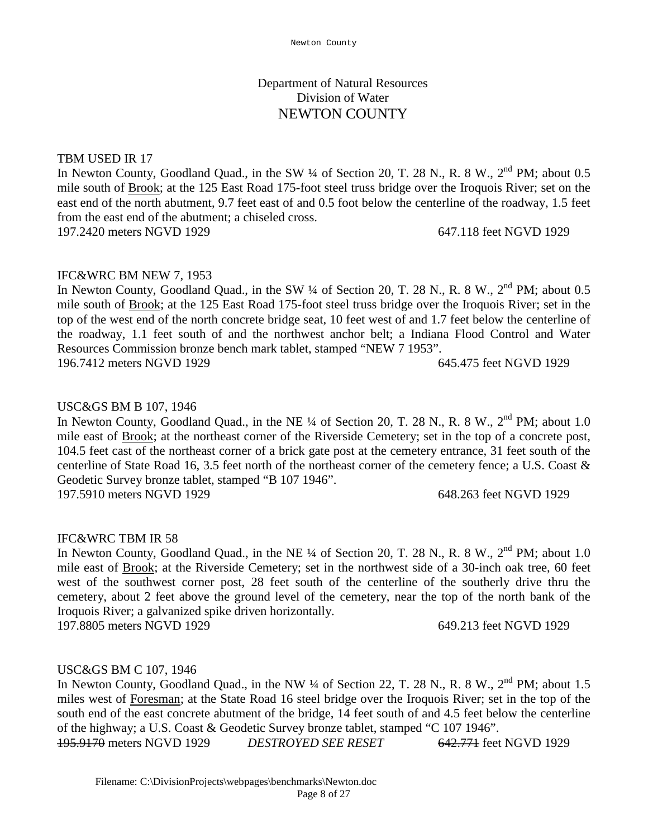# TBM USED IR 17

In Newton County, Goodland Quad., in the SW 1/4 of Section 20, T. 28 N., R. 8 W., 2<sup>nd</sup> PM; about 0.5 mile south of Brook; at the 125 East Road 175-foot steel truss bridge over the Iroquois River; set on the east end of the north abutment, 9.7 feet east of and 0.5 foot below the centerline of the roadway, 1.5 feet from the east end of the abutment; a chiseled cross. 197.2420 meters NGVD 1929 647.118 feet NGVD 1929

# IFC&WRC BM NEW 7, 1953

In Newton County, Goodland Quad., in the SW  $\frac{1}{4}$  of Section 20, T. 28 N., R. 8 W.,  $2^{nd}$  PM; about 0.5 mile south of Brook; at the 125 East Road 175-foot steel truss bridge over the Iroquois River; set in the top of the west end of the north concrete bridge seat, 10 feet west of and 1.7 feet below the centerline of the roadway, 1.1 feet south of and the northwest anchor belt; a Indiana Flood Control and Water Resources Commission bronze bench mark tablet, stamped "NEW 7 1953". 196.7412 meters NGVD 1929 645.475 feet NGVD 1929

# USC&GS BM B 107, 1946

In Newton County, Goodland Quad., in the NE  $\frac{1}{4}$  of Section 20, T. 28 N., R. 8 W.,  $2^{nd}$  PM; about 1.0 mile east of **Brook**; at the northeast corner of the Riverside Cemetery; set in the top of a concrete post, 104.5 feet cast of the northeast corner of a brick gate post at the cemetery entrance, 31 feet south of the centerline of State Road 16, 3.5 feet north of the northeast corner of the cemetery fence; a U.S. Coast & Geodetic Survey bronze tablet, stamped "B 107 1946". 197.5910 meters NGVD 1929 648.263 feet NGVD 1929

#### IFC&WRC TBM IR 58

In Newton County, Goodland Quad., in the NE <sup>1/4</sup> of Section 20, T. 28 N., R. 8 W., 2<sup>nd</sup> PM; about 1.0 mile east of Brook; at the Riverside Cemetery; set in the northwest side of a 30-inch oak tree, 60 feet west of the southwest corner post, 28 feet south of the centerline of the southerly drive thru the cemetery, about 2 feet above the ground level of the cemetery, near the top of the north bank of the Iroquois River; a galvanized spike driven horizontally.

197.8805 meters NGVD 1929 649.213 feet NGVD 1929

#### USC&GS BM C 107, 1946

In Newton County, Goodland Quad., in the NW ¼ of Section 22, T. 28 N., R. 8 W., 2<sup>nd</sup> PM; about 1.5 miles west of Foresman; at the State Road 16 steel bridge over the Iroquois River; set in the top of the south end of the east concrete abutment of the bridge, 14 feet south of and 4.5 feet below the centerline of the highway; a U.S. Coast & Geodetic Survey bronze tablet, stamped "C 107 1946". 195.9170 meters NGVD 1929 *DESTROYED SEE RESET* 642.771 feet NGVD 1929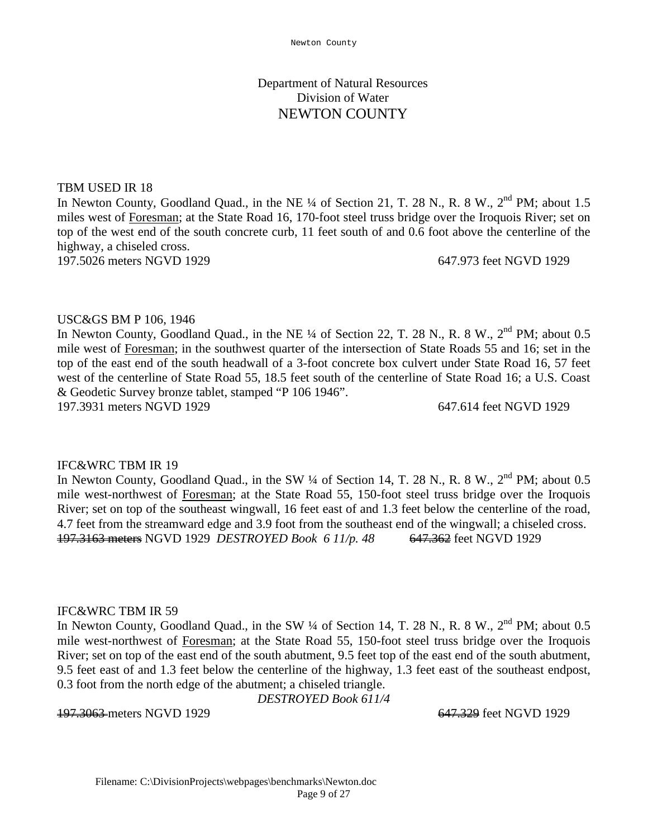## TBM USED IR 18

In Newton County, Goodland Quad., in the NE  $\frac{1}{4}$  of Section 21, T. 28 N., R. 8 W., 2<sup>nd</sup> PM; about 1.5 miles west of Foresman; at the State Road 16, 170-foot steel truss bridge over the Iroquois River; set on top of the west end of the south concrete curb, 11 feet south of and 0.6 foot above the centerline of the highway, a chiseled cross. 197.5026 meters NGVD 1929 647.973 feet NGVD 1929

#### USC&GS BM P 106, 1946

In Newton County, Goodland Quad., in the NE  $\frac{1}{4}$  of Section 22, T. 28 N., R. 8 W., 2<sup>nd</sup> PM; about 0.5 mile west of Foresman; in the southwest quarter of the intersection of State Roads 55 and 16; set in the top of the east end of the south headwall of a 3-foot concrete box culvert under State Road 16, 57 feet west of the centerline of State Road 55, 18.5 feet south of the centerline of State Road 16; a U.S. Coast & Geodetic Survey bronze tablet, stamped "P 106 1946". 197.3931 meters NGVD 1929 647.614 feet NGVD 1929

#### IFC&WRC TBM IR 19

In Newton County, Goodland Quad., in the SW 1/4 of Section 14, T. 28 N., R. 8 W., 2<sup>nd</sup> PM; about 0.5 mile west-northwest of Foresman; at the State Road 55, 150-foot steel truss bridge over the Iroquois River; set on top of the southeast wingwall, 16 feet east of and 1.3 feet below the centerline of the road, 4.7 feet from the streamward edge and 3.9 foot from the southeast end of the wingwall; a chiseled cross. 197.3163 meters NGVD 1929 *DESTROYED Book 6 11/p. 48* 647.362 feet NGVD 1929

#### IFC&WRC TBM IR 59

In Newton County, Goodland Quad., in the SW 1/4 of Section 14, T. 28 N., R. 8 W., 2<sup>nd</sup> PM; about 0.5 mile west-northwest of Foresman; at the State Road 55, 150-foot steel truss bridge over the Iroquois River; set on top of the east end of the south abutment, 9.5 feet top of the east end of the south abutment, 9.5 feet east of and 1.3 feet below the centerline of the highway, 1.3 feet east of the southeast endpost, 0.3 foot from the north edge of the abutment; a chiseled triangle.

*DESTROYED Book 611/4*

197.3063 meters NGVD 1929 **647.329** feet NGVD 1929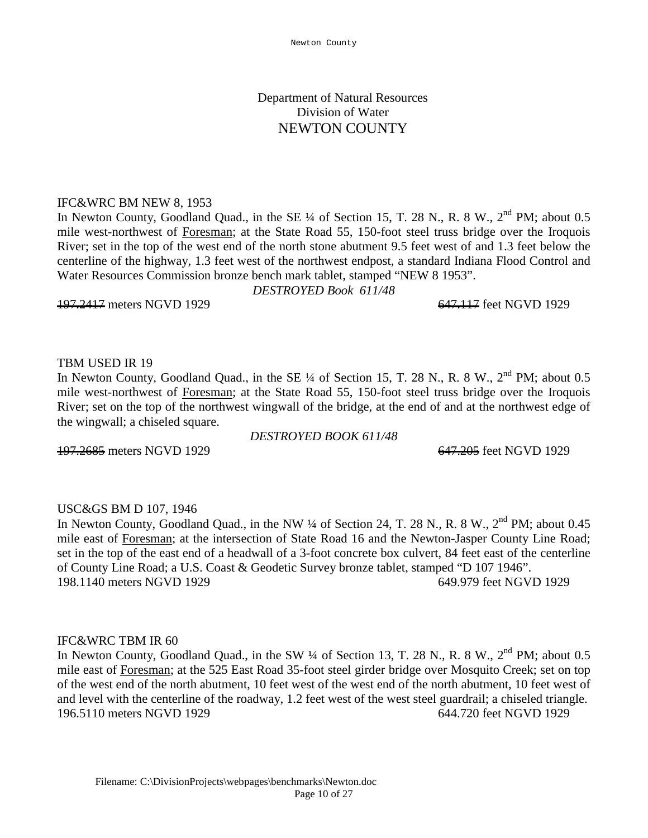## IFC&WRC BM NEW 8, 1953

In Newton County, Goodland Quad., in the SE  $\frac{1}{4}$  of Section 15, T. 28 N., R. 8 W., 2<sup>nd</sup> PM; about 0.5 mile west-northwest of Foresman; at the State Road 55, 150-foot steel truss bridge over the Iroquois River; set in the top of the west end of the north stone abutment 9.5 feet west of and 1.3 feet below the centerline of the highway, 1.3 feet west of the northwest endpost, a standard Indiana Flood Control and Water Resources Commission bronze bench mark tablet, stamped "NEW 8 1953".

*DESTROYED Book 611/48*

197.2417 meters NGVD 1929 647.117 feet NGVD 1929

#### TBM USED IR 19

In Newton County, Goodland Quad., in the SE 1/4 of Section 15, T. 28 N., R. 8 W., 2<sup>nd</sup> PM; about 0.5 mile west-northwest of Foresman; at the State Road 55, 150-foot steel truss bridge over the Iroquois River; set on the top of the northwest wingwall of the bridge, at the end of and at the northwest edge of the wingwall; a chiseled square.

197.2685 meters NGVD 1929 647.205 feet NGVD 1929

*DESTROYED BOOK 611/48*

#### USC&GS BM D 107, 1946

In Newton County, Goodland Quad., in the NW  $\frac{1}{4}$  of Section 24, T. 28 N., R. 8 W., 2<sup>nd</sup> PM; about 0.45 mile east of Foresman; at the intersection of State Road 16 and the Newton-Jasper County Line Road; set in the top of the east end of a headwall of a 3-foot concrete box culvert, 84 feet east of the centerline of County Line Road; a U.S. Coast & Geodetic Survey bronze tablet, stamped "D 107 1946". 198.1140 meters NGVD 1929 649.979 feet NGVD 1929

#### IFC&WRC TBM IR 60

In Newton County, Goodland Quad., in the SW  $\frac{1}{4}$  of Section 13, T. 28 N., R. 8 W.,  $2^{nd}$  PM; about 0.5 mile east of Foresman; at the 525 East Road 35-foot steel girder bridge over Mosquito Creek; set on top of the west end of the north abutment, 10 feet west of the west end of the north abutment, 10 feet west of and level with the centerline of the roadway, 1.2 feet west of the west steel guardrail; a chiseled triangle. 196.5110 meters NGVD 1929 644.720 feet NGVD 1929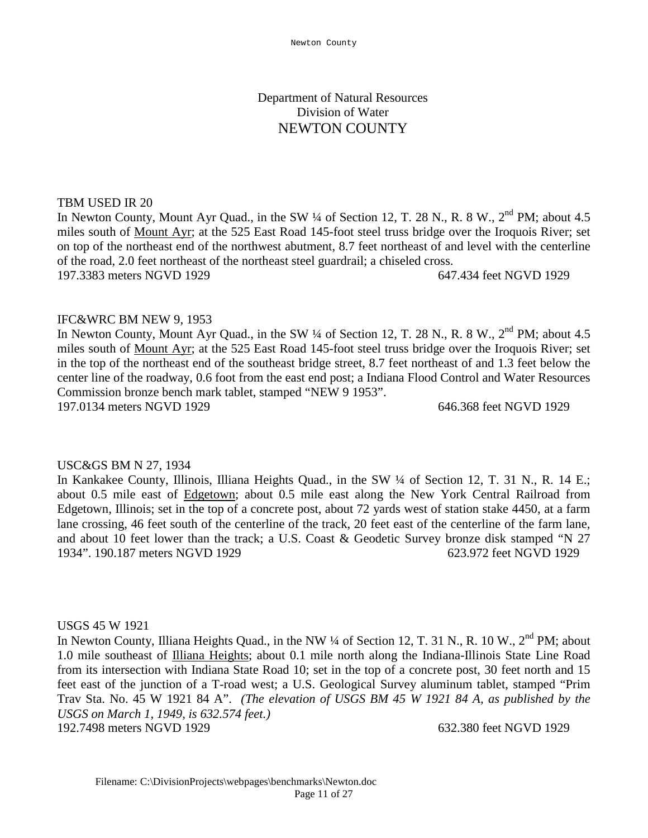# TBM USED IR 20

In Newton County, Mount Ayr Quad., in the SW  $\frac{1}{4}$  of Section 12, T. 28 N., R. 8 W., 2<sup>nd</sup> PM; about 4.5 miles south of Mount Ayr; at the 525 East Road 145-foot steel truss bridge over the Iroquois River; set on top of the northeast end of the northwest abutment, 8.7 feet northeast of and level with the centerline of the road, 2.0 feet northeast of the northeast steel guardrail; a chiseled cross. 197.3383 meters NGVD 1929 647.434 feet NGVD 1929

# IFC&WRC BM NEW 9, 1953

In Newton County, Mount Ayr Quad., in the SW 1/4 of Section 12, T. 28 N., R. 8 W., 2<sup>nd</sup> PM; about 4.5 miles south of Mount Ayr; at the 525 East Road 145-foot steel truss bridge over the Iroquois River; set in the top of the northeast end of the southeast bridge street, 8.7 feet northeast of and 1.3 feet below the center line of the roadway, 0.6 foot from the east end post; a Indiana Flood Control and Water Resources Commission bronze bench mark tablet, stamped "NEW 9 1953".

197.0134 meters NGVD 1929 646.368 feet NGVD 1929

# USC&GS BM N 27, 1934

In Kankakee County, Illinois, Illiana Heights Quad., in the SW ¼ of Section 12, T. 31 N., R. 14 E.; about 0.5 mile east of Edgetown; about 0.5 mile east along the New York Central Railroad from Edgetown, Illinois; set in the top of a concrete post, about 72 yards west of station stake 4450, at a farm lane crossing, 46 feet south of the centerline of the track, 20 feet east of the centerline of the farm lane, and about 10 feet lower than the track; a U.S. Coast & Geodetic Survey bronze disk stamped "N 27 1934". 190.187 meters NGVD 1929 623.972 feet NGVD 1929

#### USGS 45 W 1921

In Newton County, Illiana Heights Quad., in the NW ¼ of Section 12, T. 31 N., R. 10 W., 2<sup>nd</sup> PM; about 1.0 mile southeast of Illiana Heights; about 0.1 mile north along the Indiana-Illinois State Line Road from its intersection with Indiana State Road 10; set in the top of a concrete post, 30 feet north and 15 feet east of the junction of a T-road west; a U.S. Geological Survey aluminum tablet, stamped "Prim Trav Sta. No. 45 W 1921 84 A". *(The elevation of USGS BM 45 W 1921 84 A, as published by the USGS on March 1, 1949, is 632.574 feet.)* 192.7498 meters NGVD 1929 632.380 feet NGVD 1929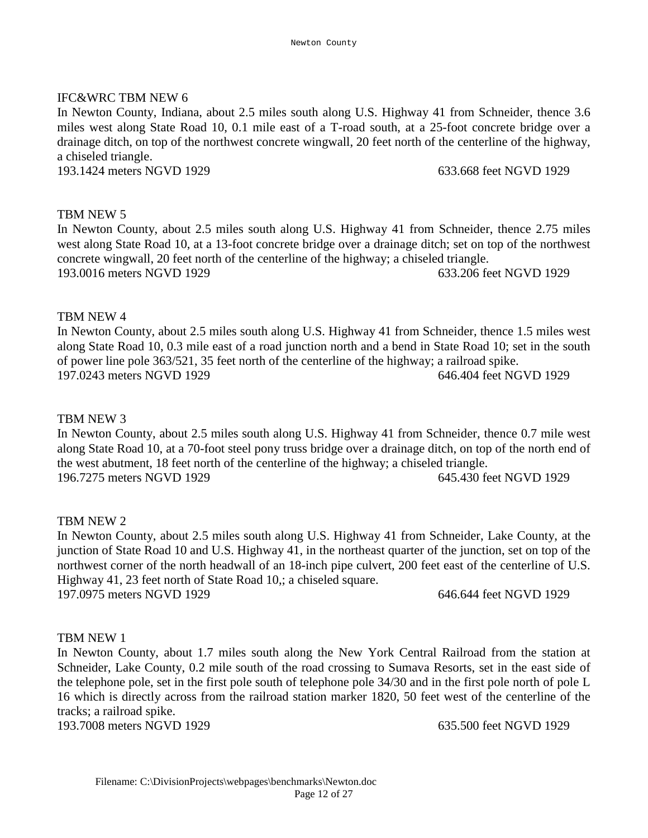# IFC&WRC TBM NEW 6

In Newton County, Indiana, about 2.5 miles south along U.S. Highway 41 from Schneider, thence 3.6 miles west along State Road 10, 0.1 mile east of a T-road south, at a 25-foot concrete bridge over a drainage ditch, on top of the northwest concrete wingwall, 20 feet north of the centerline of the highway, a chiseled triangle.

193.1424 meters NGVD 1929 633.668 feet NGVD 1929

# TBM NEW 5

In Newton County, about 2.5 miles south along U.S. Highway 41 from Schneider, thence 2.75 miles west along State Road 10, at a 13-foot concrete bridge over a drainage ditch; set on top of the northwest concrete wingwall, 20 feet north of the centerline of the highway; a chiseled triangle. 193.0016 meters NGVD 1929 633.206 feet NGVD 1929

# TBM NEW 4

In Newton County, about 2.5 miles south along U.S. Highway 41 from Schneider, thence 1.5 miles west along State Road 10, 0.3 mile east of a road junction north and a bend in State Road 10; set in the south of power line pole 363/521, 35 feet north of the centerline of the highway; a railroad spike. 197.0243 meters NGVD 1929 646.404 feet NGVD 1929

# TBM NEW 3

In Newton County, about 2.5 miles south along U.S. Highway 41 from Schneider, thence 0.7 mile west along State Road 10, at a 70-foot steel pony truss bridge over a drainage ditch, on top of the north end of the west abutment, 18 feet north of the centerline of the highway; a chiseled triangle. 196.7275 meters NGVD 1929 645.430 feet NGVD 1929

# TBM NEW 2

In Newton County, about 2.5 miles south along U.S. Highway 41 from Schneider, Lake County, at the junction of State Road 10 and U.S. Highway 41, in the northeast quarter of the junction, set on top of the northwest corner of the north headwall of an 18-inch pipe culvert, 200 feet east of the centerline of U.S. Highway 41, 23 feet north of State Road 10,; a chiseled square. 197.0975 meters NGVD 1929 646.644 feet NGVD 1929

# TBM NEW 1

In Newton County, about 1.7 miles south along the New York Central Railroad from the station at Schneider, Lake County, 0.2 mile south of the road crossing to Sumava Resorts, set in the east side of the telephone pole, set in the first pole south of telephone pole 34/30 and in the first pole north of pole L 16 which is directly across from the railroad station marker 1820, 50 feet west of the centerline of the tracks; a railroad spike.

193.7008 meters NGVD 1929 635.500 feet NGVD 1929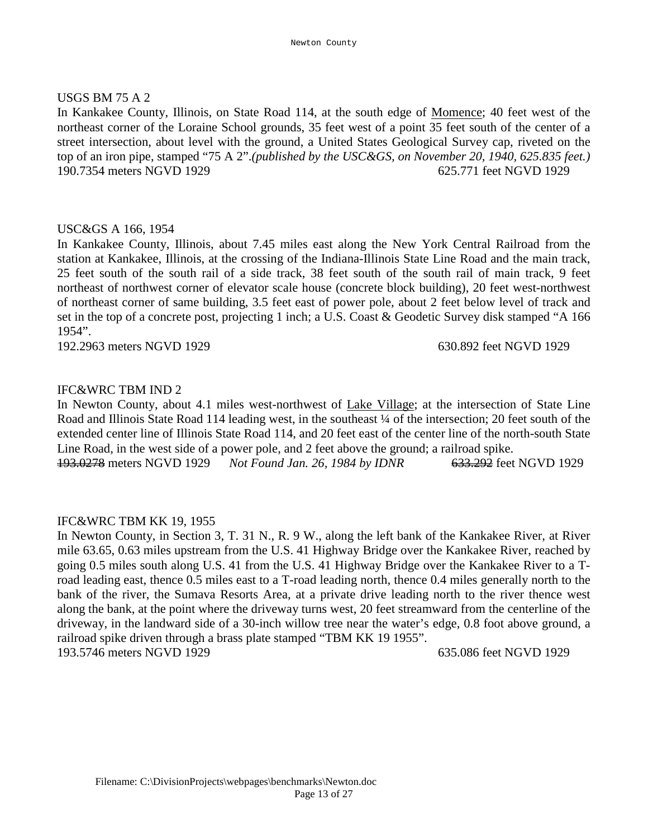# USGS BM 75 A 2

In Kankakee County, Illinois, on State Road 114, at the south edge of Momence; 40 feet west of the northeast corner of the Loraine School grounds, 35 feet west of a point 35 feet south of the center of a street intersection, about level with the ground, a United States Geological Survey cap, riveted on the top of an iron pipe, stamped "75 A 2".*(published by the USC&GS, on November 20, 1940, 625.835 feet.)* 190.7354 meters NGVD 1929 625.771 feet NGVD 1929

# USC&GS A 166, 1954

In Kankakee County, Illinois, about 7.45 miles east along the New York Central Railroad from the station at Kankakee, Illinois, at the crossing of the Indiana-Illinois State Line Road and the main track, 25 feet south of the south rail of a side track, 38 feet south of the south rail of main track, 9 feet northeast of northwest corner of elevator scale house (concrete block building), 20 feet west-northwest of northeast corner of same building, 3.5 feet east of power pole, about 2 feet below level of track and set in the top of a concrete post, projecting 1 inch; a U.S. Coast & Geodetic Survey disk stamped "A 166 1954".

192.2963 meters NGVD 1929 630.892 feet NGVD 1929

# IFC&WRC TBM IND 2

In Newton County, about 4.1 miles west-northwest of Lake Village; at the intersection of State Line Road and Illinois State Road 114 leading west, in the southeast ¼ of the intersection; 20 feet south of the extended center line of Illinois State Road 114, and 20 feet east of the center line of the north-south State Line Road, in the west side of a power pole, and 2 feet above the ground; a railroad spike. 193.0278 meters NGVD 1929 *Not Found Jan. 26, 1984 by IDNR* 633.292 feet NGVD 1929

# IFC&WRC TBM KK 19, 1955

In Newton County, in Section 3, T. 31 N., R. 9 W., along the left bank of the Kankakee River, at River mile 63.65, 0.63 miles upstream from the U.S. 41 Highway Bridge over the Kankakee River, reached by going 0.5 miles south along U.S. 41 from the U.S. 41 Highway Bridge over the Kankakee River to a Troad leading east, thence 0.5 miles east to a T-road leading north, thence 0.4 miles generally north to the bank of the river, the Sumava Resorts Area, at a private drive leading north to the river thence west along the bank, at the point where the driveway turns west, 20 feet streamward from the centerline of the driveway, in the landward side of a 30-inch willow tree near the water's edge, 0.8 foot above ground, a railroad spike driven through a brass plate stamped "TBM KK 19 1955". 193.5746 meters NGVD 1929 635.086 feet NGVD 1929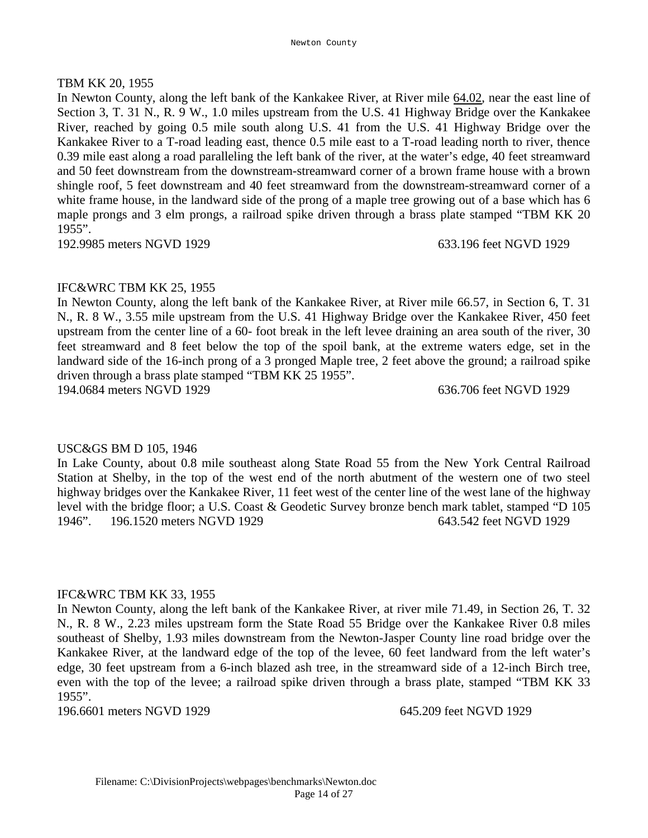Section 3, T. 31 N., R. 9 W., 1.0 miles upstream from the U.S. 41 Highway Bridge over the Kankakee River, reached by going 0.5 mile south along U.S. 41 from the U.S. 41 Highway Bridge over the Kankakee River to a T-road leading east, thence 0.5 mile east to a T-road leading north to river, thence 0.39 mile east along a road paralleling the left bank of the river, at the water's edge, 40 feet streamward and 50 feet downstream from the downstream-streamward corner of a brown frame house with a brown shingle roof, 5 feet downstream and 40 feet streamward from the downstream-streamward corner of a white frame house, in the landward side of the prong of a maple tree growing out of a base which has 6 maple prongs and 3 elm prongs, a railroad spike driven through a brass plate stamped "TBM KK 20  $1955$ ".

TBM KK 20, 1955

#### IFC&WRC TBM KK 25, 1955

In Newton County, along the left bank of the Kankakee River, at River mile 66.57, in Section 6, T. 31 N., R. 8 W., 3.55 mile upstream from the U.S. 41 Highway Bridge over the Kankakee River, 450 feet upstream from the center line of a 60- foot break in the left levee draining an area south of the river, 30 feet streamward and 8 feet below the top of the spoil bank, at the extreme waters edge, set in the landward side of the 16-inch prong of a 3 pronged Maple tree, 2 feet above the ground; a railroad spike driven through a brass plate stamped "TBM KK 25 1955". 194.0684 meters NGVD 1929 636.706 feet NGVD 1929

#### USC&GS BM D 105, 1946

In Lake County, about 0.8 mile southeast along State Road 55 from the New York Central Railroad Station at Shelby, in the top of the west end of the north abutment of the western one of two steel highway bridges over the Kankakee River, 11 feet west of the center line of the west lane of the highway level with the bridge floor; a U.S. Coast & Geodetic Survey bronze bench mark tablet, stamped "D 105 1946". 196.1520 meters NGVD 1929 643.542 feet NGVD 1929

#### IFC&WRC TBM KK 33, 1955

In Newton County, along the left bank of the Kankakee River, at river mile 71.49, in Section 26, T. 32 N., R. 8 W., 2.23 miles upstream form the State Road 55 Bridge over the Kankakee River 0.8 miles southeast of Shelby, 1.93 miles downstream from the Newton-Jasper County line road bridge over the Kankakee River, at the landward edge of the top of the levee, 60 feet landward from the left water's edge, 30 feet upstream from a 6-inch blazed ash tree, in the streamward side of a 12-inch Birch tree, even with the top of the levee; a railroad spike driven through a brass plate, stamped "TBM KK 33 1955".

196.6601 meters NGVD 1929 645.209 feet NGVD 1929

In Newton County, along the left bank of the Kankakee River, at River mile 64.02, near the east line of

192.9985 meters NGVD 1929 633.196 feet NGVD 1929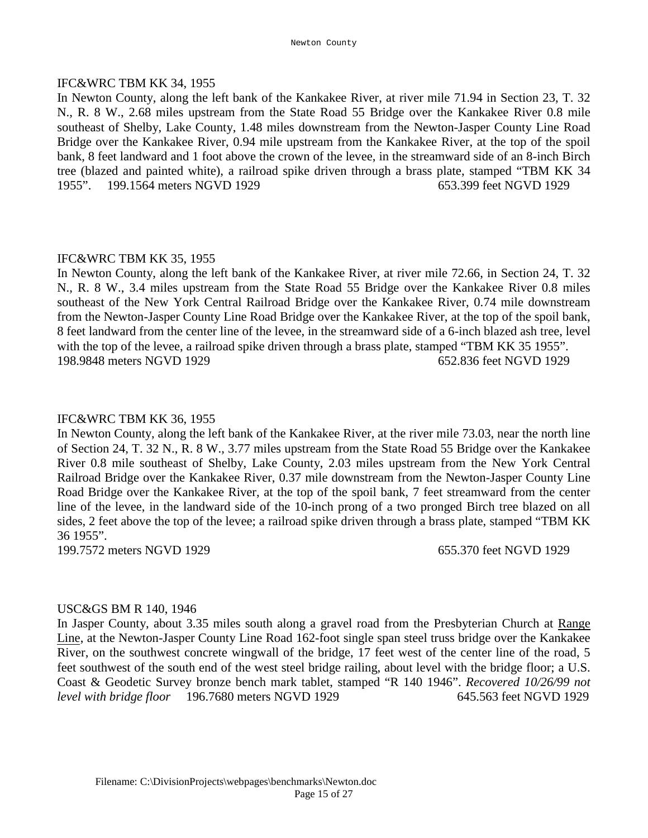#### IFC&WRC TBM KK 34, 1955

In Newton County, along the left bank of the Kankakee River, at river mile 71.94 in Section 23, T. 32 N., R. 8 W., 2.68 miles upstream from the State Road 55 Bridge over the Kankakee River 0.8 mile southeast of Shelby, Lake County, 1.48 miles downstream from the Newton-Jasper County Line Road Bridge over the Kankakee River, 0.94 mile upstream from the Kankakee River, at the top of the spoil bank, 8 feet landward and 1 foot above the crown of the levee, in the streamward side of an 8-inch Birch tree (blazed and painted white), a railroad spike driven through a brass plate, stamped "TBM KK 34 1955". 199.1564 meters NGVD 1929 653.399 feet NGVD 1929

# IFC&WRC TBM KK 35, 1955

In Newton County, along the left bank of the Kankakee River, at river mile 72.66, in Section 24, T. 32 N., R. 8 W., 3.4 miles upstream from the State Road 55 Bridge over the Kankakee River 0.8 miles southeast of the New York Central Railroad Bridge over the Kankakee River, 0.74 mile downstream from the Newton-Jasper County Line Road Bridge over the Kankakee River, at the top of the spoil bank, 8 feet landward from the center line of the levee, in the streamward side of a 6-inch blazed ash tree, level with the top of the levee, a railroad spike driven through a brass plate, stamped "TBM KK 35 1955". 198.9848 meters NGVD 1929 652.836 feet NGVD 1929

# IFC&WRC TBM KK 36, 1955

In Newton County, along the left bank of the Kankakee River, at the river mile 73.03, near the north line of Section 24, T. 32 N., R. 8 W., 3.77 miles upstream from the State Road 55 Bridge over the Kankakee River 0.8 mile southeast of Shelby, Lake County, 2.03 miles upstream from the New York Central Railroad Bridge over the Kankakee River, 0.37 mile downstream from the Newton-Jasper County Line Road Bridge over the Kankakee River, at the top of the spoil bank, 7 feet streamward from the center line of the levee, in the landward side of the 10-inch prong of a two pronged Birch tree blazed on all sides, 2 feet above the top of the levee; a railroad spike driven through a brass plate, stamped "TBM KK 36 1955".

199.7572 meters NGVD 1929 655.370 feet NGVD 1929

#### USC&GS BM R 140, 1946

In Jasper County, about 3.35 miles south along a gravel road from the Presbyterian Church at Range Line, at the Newton-Jasper County Line Road 162-foot single span steel truss bridge over the Kankakee River, on the southwest concrete wingwall of the bridge, 17 feet west of the center line of the road, 5 feet southwest of the south end of the west steel bridge railing, about level with the bridge floor; a U.S. Coast & Geodetic Survey bronze bench mark tablet, stamped "R 140 1946". *Recovered 10/26/99 not level with bridge floor* 196.7680 meters NGVD 1929 645.563 feet NGVD 1929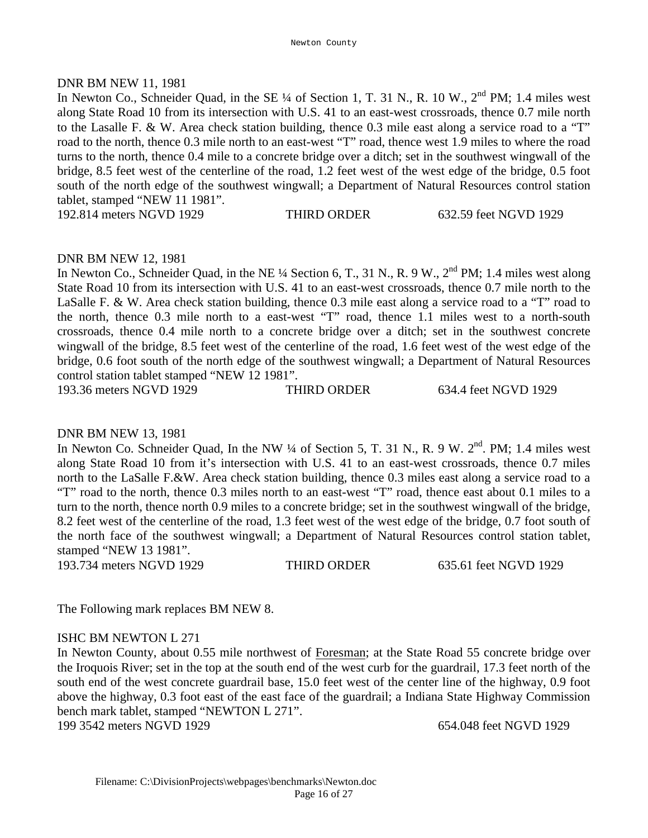# DNR BM NEW 11, 1981

In Newton Co., Schneider Quad, in the SE ¼ of Section 1, T. 31 N., R. 10 W., 2<sup>nd</sup> PM; 1.4 miles west along State Road 10 from its intersection with U.S. 41 to an east-west crossroads, thence 0.7 mile north to the Lasalle F. & W. Area check station building, thence 0.3 mile east along a service road to a "T" road to the north, thence 0.3 mile north to an east-west "T" road, thence west 1.9 miles to where the road turns to the north, thence 0.4 mile to a concrete bridge over a ditch; set in the southwest wingwall of the bridge, 8.5 feet west of the centerline of the road, 1.2 feet west of the west edge of the bridge, 0.5 foot south of the north edge of the southwest wingwall; a Department of Natural Resources control station tablet, stamped "NEW 11 1981".

192.814 meters NGVD 1929 THIRD ORDER 632.59 feet NGVD 1929

# DNR BM NEW 12, 1981

In Newton Co., Schneider Quad, in the NE  $\frac{1}{4}$  Section 6, T., 31 N., R. 9 W.,  $2^{nd}$  PM; 1.4 miles west along State Road 10 from its intersection with U.S. 41 to an east-west crossroads, thence 0.7 mile north to the LaSalle F. & W. Area check station building, thence 0.3 mile east along a service road to a "T" road to the north, thence 0.3 mile north to a east-west "T" road, thence 1.1 miles west to a north-south crossroads, thence 0.4 mile north to a concrete bridge over a ditch; set in the southwest concrete wingwall of the bridge, 8.5 feet west of the centerline of the road, 1.6 feet west of the west edge of the bridge, 0.6 foot south of the north edge of the southwest wingwall; a Department of Natural Resources control station tablet stamped "NEW 12 1981".

193.36 meters NGVD 1929 THIRD ORDER 634.4 feet NGVD 1929

# DNR BM NEW 13, 1981

In Newton Co. Schneider Quad, In the NW  $\frac{1}{4}$  of Section 5, T. 31 N., R. 9 W.  $2^{nd}$ . PM; 1.4 miles west along State Road 10 from it's intersection with U.S. 41 to an east-west crossroads, thence 0.7 miles north to the LaSalle F.&W. Area check station building, thence 0.3 miles east along a service road to a "T" road to the north, thence 0.3 miles north to an east-west "T" road, thence east about 0.1 miles to a turn to the north, thence north 0.9 miles to a concrete bridge; set in the southwest wingwall of the bridge, 8.2 feet west of the centerline of the road, 1.3 feet west of the west edge of the bridge, 0.7 foot south of the north face of the southwest wingwall; a Department of Natural Resources control station tablet, stamped "NEW 13 1981".

193.734 meters NGVD 1929 THIRD ORDER 635.61 feet NGVD 1929

The Following mark replaces BM NEW 8.

# ISHC BM NEWTON L 271

In Newton County, about 0.55 mile northwest of Foresman; at the State Road 55 concrete bridge over the Iroquois River; set in the top at the south end of the west curb for the guardrail, 17.3 feet north of the south end of the west concrete guardrail base, 15.0 feet west of the center line of the highway, 0.9 foot above the highway, 0.3 foot east of the east face of the guardrail; a Indiana State Highway Commission bench mark tablet, stamped "NEWTON L 271".

199 3542 meters NGVD 1929 654.048 feet NGVD 1929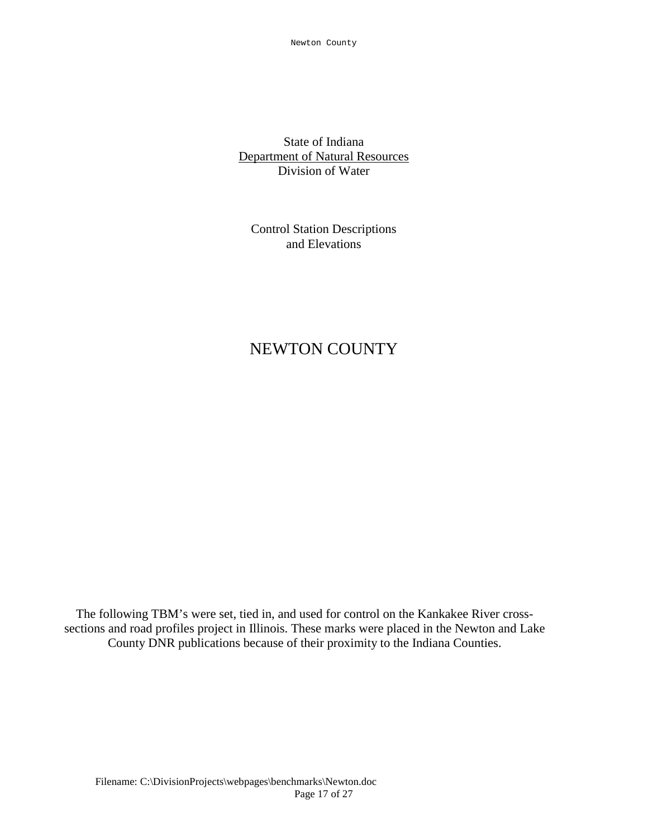State of Indiana Department of Natural Resources Division of Water

Control Station Descriptions and Elevations

# NEWTON COUNTY

The following TBM's were set, tied in, and used for control on the Kankakee River crosssections and road profiles project in Illinois. These marks were placed in the Newton and Lake County DNR publications because of their proximity to the Indiana Counties.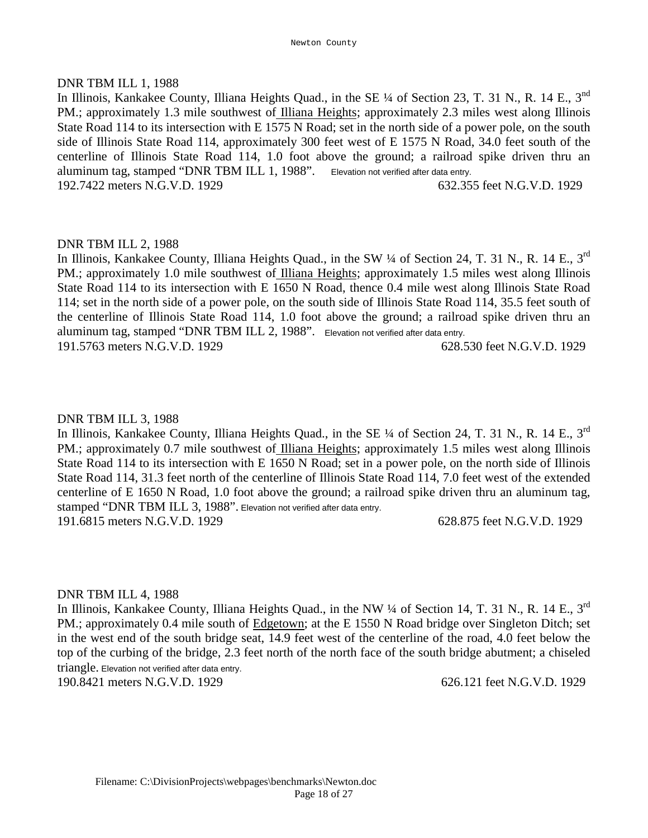#### DNR TBM ILL 1, 1988

In Illinois, Kankakee County, Illiana Heights Quad., in the SE ¼ of Section 23, T. 31 N., R. 14 E., 3<sup>nd</sup> PM.; approximately 1.3 mile southwest of Illiana Heights; approximately 2.3 miles west along Illinois State Road 114 to its intersection with E 1575 N Road; set in the north side of a power pole, on the south side of Illinois State Road 114, approximately 300 feet west of E 1575 N Road, 34.0 feet south of the centerline of Illinois State Road 114, 1.0 foot above the ground; a railroad spike driven thru an aluminum tag, stamped "DNR TBM ILL 1, 1988". Elevation not verified after data entry. 192.7422 meters N.G.V.D. 1929 632.355 feet N.G.V.D. 1929

#### DNR TBM ILL 2, 1988

In Illinois, Kankakee County, Illiana Heights Quad., in the SW ¼ of Section 24, T. 31 N., R. 14 E., 3<sup>rd</sup> PM.; approximately 1.0 mile southwest of Illiana Heights; approximately 1.5 miles west along Illinois State Road 114 to its intersection with E 1650 N Road, thence 0.4 mile west along Illinois State Road 114; set in the north side of a power pole, on the south side of Illinois State Road 114, 35.5 feet south of the centerline of Illinois State Road 114, 1.0 foot above the ground; a railroad spike driven thru an aluminum tag, stamped "DNR TBM ILL 2, 1988". Elevation not verified after data entry. 191.5763 meters N.G.V.D. 1929 628.530 feet N.G.V.D. 1929

#### DNR TBM ILL 3, 1988

In Illinois, Kankakee County, Illiana Heights Quad., in the SE ¼ of Section 24, T. 31 N., R. 14 E., 3<sup>rd</sup> PM.; approximately 0.7 mile southwest of Illiana Heights; approximately 1.5 miles west along Illinois State Road 114 to its intersection with E 1650 N Road; set in a power pole, on the north side of Illinois State Road 114, 31.3 feet north of the centerline of Illinois State Road 114, 7.0 feet west of the extended centerline of E 1650 N Road, 1.0 foot above the ground; a railroad spike driven thru an aluminum tag, stamped "DNR TBM ILL 3, 1988". Elevation not verified after data entry. 191.6815 meters N.G.V.D. 1929 628.875 feet N.G.V.D. 1929

#### DNR TBM ILL 4, 1988

In Illinois, Kankakee County, Illiana Heights Quad., in the NW ¼ of Section 14, T. 31 N., R. 14 E., 3<sup>rd</sup> PM.; approximately 0.4 mile south of Edgetown; at the E 1550 N Road bridge over Singleton Ditch; set in the west end of the south bridge seat, 14.9 feet west of the centerline of the road, 4.0 feet below the top of the curbing of the bridge, 2.3 feet north of the north face of the south bridge abutment; a chiseled triangle. Elevation not verified after data entry.

190.8421 meters N.G.V.D. 1929 626.121 feet N.G.V.D. 1929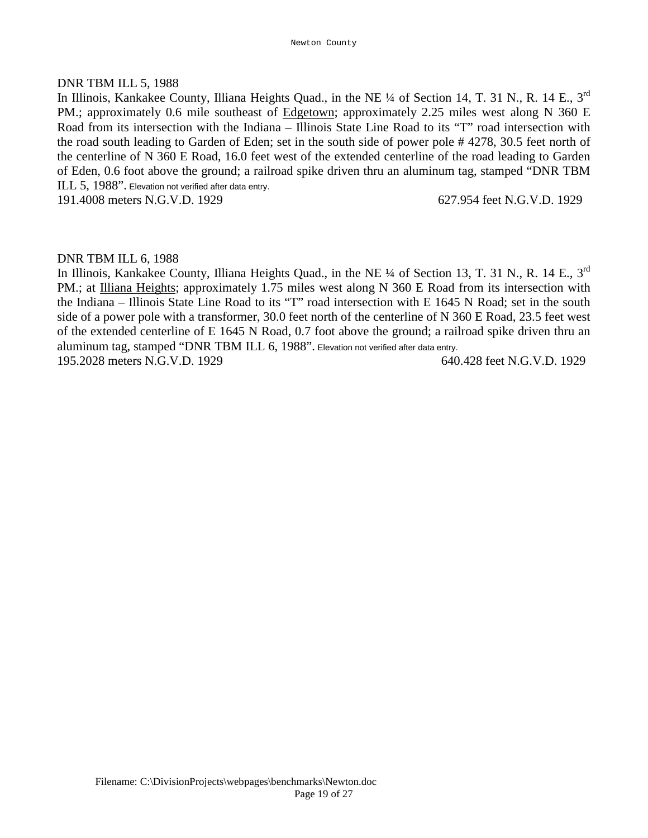# DNR TBM ILL 5, 1988

In Illinois, Kankakee County, Illiana Heights Quad., in the NE ¼ of Section 14, T. 31 N., R. 14 E., 3<sup>rd</sup> PM.; approximately 0.6 mile southeast of Edgetown; approximately 2.25 miles west along N 360 E Road from its intersection with the Indiana – Illinois State Line Road to its "T" road intersection with the road south leading to Garden of Eden; set in the south side of power pole # 4278, 30.5 feet north of the centerline of N 360 E Road, 16.0 feet west of the extended centerline of the road leading to Garden of Eden, 0.6 foot above the ground; a railroad spike driven thru an aluminum tag, stamped "DNR TBM ILL 5, 1988". Elevation not verified after data entry.

191.4008 meters N.G.V.D. 1929 627.954 feet N.G.V.D. 1929

#### DNR TBM ILL 6, 1988

In Illinois, Kankakee County, Illiana Heights Quad., in the NE ¼ of Section 13, T. 31 N., R. 14 E., 3<sup>rd</sup> PM.; at Illiana Heights; approximately 1.75 miles west along N 360 E Road from its intersection with the Indiana – Illinois State Line Road to its "T" road intersection with E 1645 N Road; set in the south side of a power pole with a transformer, 30.0 feet north of the centerline of N 360 E Road, 23.5 feet west of the extended centerline of E 1645 N Road, 0.7 foot above the ground; a railroad spike driven thru an aluminum tag, stamped "DNR TBM ILL 6, 1988". Elevation not verified after data entry. 195.2028 meters N.G.V.D. 1929 640.428 feet N.G.V.D. 1929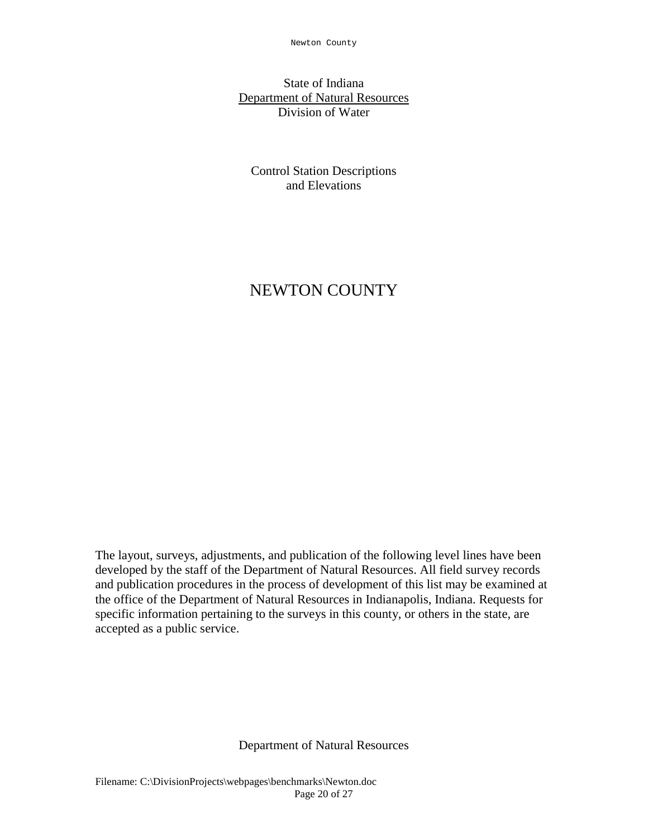Newton County

# State of Indiana Department of Natural Resources Division of Water

Control Station Descriptions and Elevations

# NEWTON COUNTY

The layout, surveys, adjustments, and publication of the following level lines have been developed by the staff of the Department of Natural Resources. All field survey records and publication procedures in the process of development of this list may be examined at the office of the Department of Natural Resources in Indianapolis, Indiana. Requests for specific information pertaining to the surveys in this county, or others in the state, are accepted as a public service.

Department of Natural Resources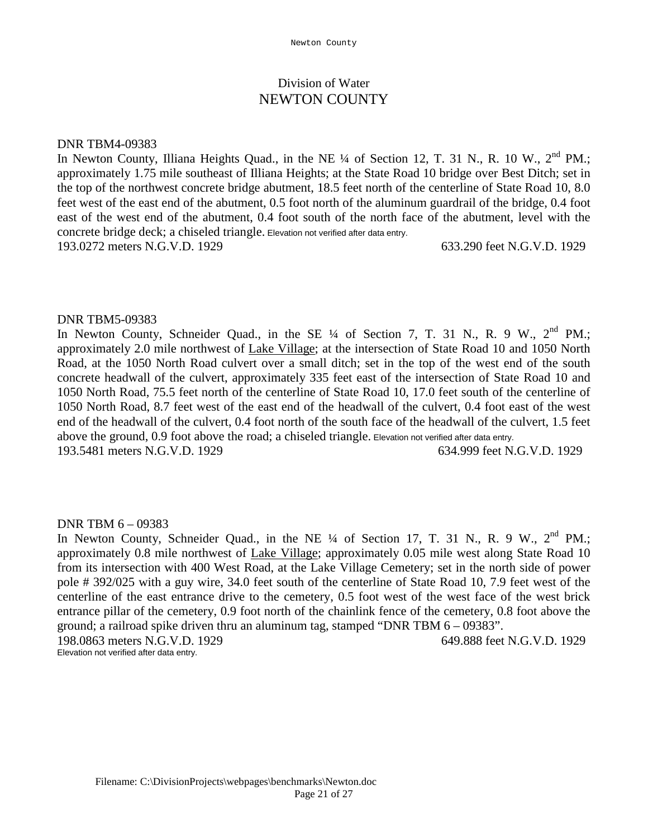# Division of Water NEWTON COUNTY

#### DNR TBM4-09383

In Newton County, Illiana Heights Quad., in the NE ¼ of Section 12, T. 31 N., R. 10 W., 2<sup>nd</sup> PM.: approximately 1.75 mile southeast of Illiana Heights; at the State Road 10 bridge over Best Ditch; set in the top of the northwest concrete bridge abutment, 18.5 feet north of the centerline of State Road 10, 8.0 feet west of the east end of the abutment, 0.5 foot north of the aluminum guardrail of the bridge, 0.4 foot east of the west end of the abutment, 0.4 foot south of the north face of the abutment, level with the concrete bridge deck; a chiseled triangle. Elevation not verified after data entry. 193.0272 meters N.G.V.D. 1929 633.290 feet N.G.V.D. 1929

DNR TBM5-09383

In Newton County, Schneider Quad., in the SE 1/4 of Section 7, T. 31 N., R. 9 W., 2<sup>nd</sup> PM.; approximately 2.0 mile northwest of Lake Village; at the intersection of State Road 10 and 1050 North Road, at the 1050 North Road culvert over a small ditch; set in the top of the west end of the south concrete headwall of the culvert, approximately 335 feet east of the intersection of State Road 10 and 1050 North Road, 75.5 feet north of the centerline of State Road 10, 17.0 feet south of the centerline of 1050 North Road, 8.7 feet west of the east end of the headwall of the culvert, 0.4 foot east of the west end of the headwall of the culvert, 0.4 foot north of the south face of the headwall of the culvert, 1.5 feet above the ground, 0.9 foot above the road; a chiseled triangle. Elevation not verified after data entry. 193.5481 meters N.G.V.D. 1929 634.999 feet N.G.V.D. 1929

#### DNR TBM 6 – 09383

In Newton County, Schneider Quad., in the NE 1/4 of Section 17, T. 31 N., R. 9 W., 2<sup>nd</sup> PM.; approximately 0.8 mile northwest of Lake Village; approximately 0.05 mile west along State Road 10 from its intersection with 400 West Road, at the Lake Village Cemetery; set in the north side of power pole # 392/025 with a guy wire, 34.0 feet south of the centerline of State Road 10, 7.9 feet west of the centerline of the east entrance drive to the cemetery, 0.5 foot west of the west face of the west brick entrance pillar of the cemetery, 0.9 foot north of the chainlink fence of the cemetery, 0.8 foot above the ground; a railroad spike driven thru an aluminum tag, stamped "DNR TBM 6 – 09383". 198.0863 meters N.G.V.D. 1929 649.888 feet N.G.V.D. 1929

Elevation not verified after data entry.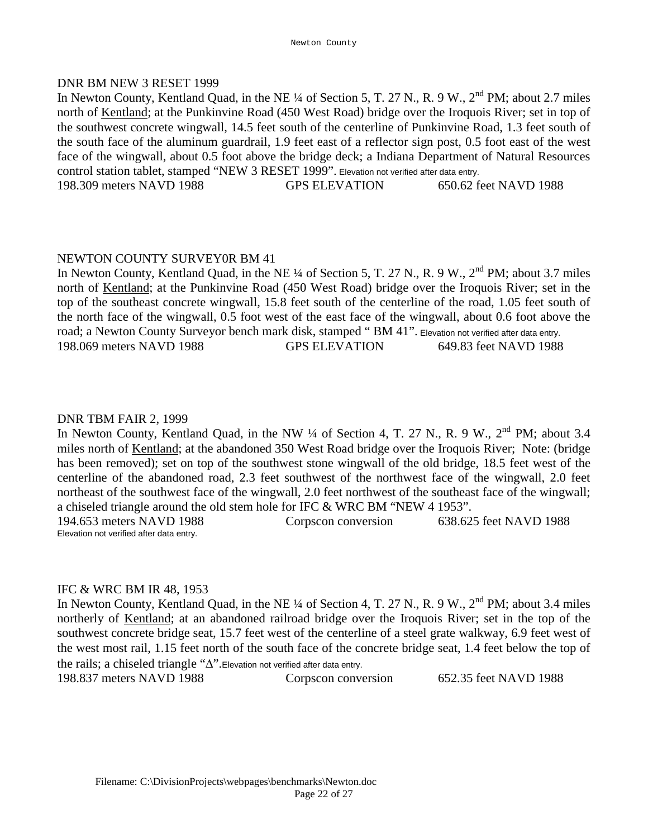# DNR BM NEW 3 RESET 1999

In Newton County, Kentland Quad, in the NE ¼ of Section 5, T. 27 N., R. 9 W., 2<sup>nd</sup> PM; about 2.7 miles north of Kentland; at the Punkinvine Road (450 West Road) bridge over the Iroquois River; set in top of the southwest concrete wingwall, 14.5 feet south of the centerline of Punkinvine Road, 1.3 feet south of the south face of the aluminum guardrail, 1.9 feet east of a reflector sign post, 0.5 foot east of the west face of the wingwall, about 0.5 foot above the bridge deck; a Indiana Department of Natural Resources control station tablet, stamped "NEW 3 RESET 1999". Elevation not verified after data entry. 198.309 meters NAVD 1988 GPS ELEVATION 650.62 feet NAVD 1988

# NEWTON COUNTY SURVEY0R BM 41

In Newton County, Kentland Quad, in the NE ¼ of Section 5, T. 27 N., R. 9 W., 2<sup>nd</sup> PM; about 3.7 miles north of Kentland; at the Punkinvine Road (450 West Road) bridge over the Iroquois River; set in the top of the southeast concrete wingwall, 15.8 feet south of the centerline of the road, 1.05 feet south of the north face of the wingwall, 0.5 foot west of the east face of the wingwall, about 0.6 foot above the road; a Newton County Surveyor bench mark disk, stamped " BM 41". Elevation not verified after data entry. 198.069 meters NAVD 1988 GPS ELEVATION 649.83 feet NAVD 1988

# DNR TBM FAIR 2, 1999

In Newton County, Kentland Quad, in the NW  $\frac{1}{4}$  of Section 4, T. 27 N., R. 9 W.,  $2^{nd}$  PM; about 3.4 miles north of Kentland; at the abandoned 350 West Road bridge over the Iroquois River; Note: (bridge has been removed); set on top of the southwest stone wingwall of the old bridge, 18.5 feet west of the centerline of the abandoned road, 2.3 feet southwest of the northwest face of the wingwall, 2.0 feet northeast of the southwest face of the wingwall, 2.0 feet northwest of the southeast face of the wingwall; a chiseled triangle around the old stem hole for IFC & WRC BM "NEW 4 1953". 194.653 meters NAVD 1988 Corpscon conversion 638.625 feet NAVD 1988 Elevation not verified after data entry.

# IFC & WRC BM IR 48, 1953

In Newton County, Kentland Quad, in the NE ¼ of Section 4, T. 27 N., R. 9 W., 2<sup>nd</sup> PM; about 3.4 miles northerly of Kentland; at an abandoned railroad bridge over the Iroquois River; set in the top of the southwest concrete bridge seat, 15.7 feet west of the centerline of a steel grate walkway, 6.9 feet west of the west most rail, 1.15 feet north of the south face of the concrete bridge seat, 1.4 feet below the top of the rails; a chiseled triangle " $\Delta$ ". Elevation not verified after data entry.

198.837 meters NAVD 1988 Corpscon conversion 652.35 feet NAVD 1988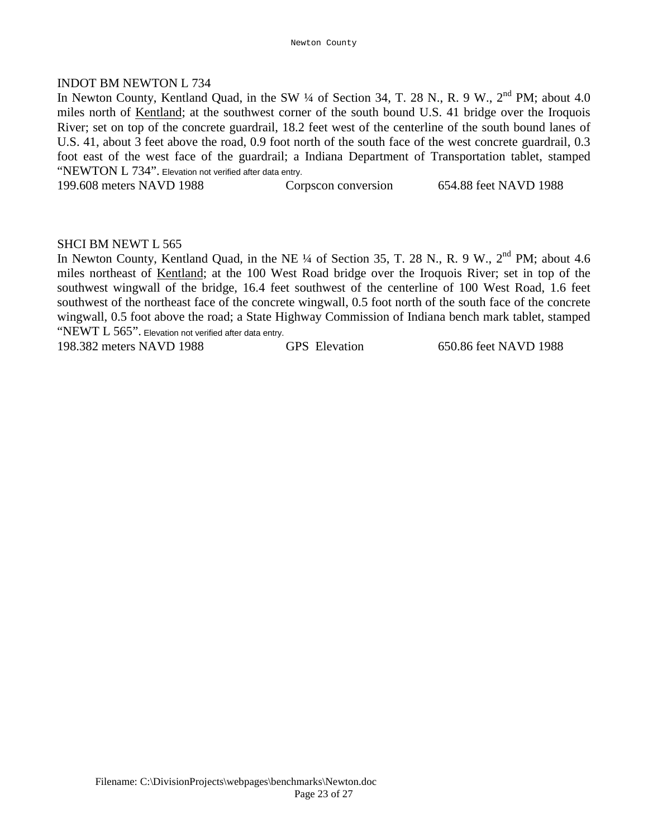# INDOT BM NEWTON L 734

In Newton County, Kentland Quad, in the SW 1/4 of Section 34, T. 28 N., R. 9 W., 2<sup>nd</sup> PM; about 4.0 miles north of Kentland; at the southwest corner of the south bound U.S. 41 bridge over the Iroquois River; set on top of the concrete guardrail, 18.2 feet west of the centerline of the south bound lanes of U.S. 41, about 3 feet above the road, 0.9 foot north of the south face of the west concrete guardrail, 0.3 foot east of the west face of the guardrail; a Indiana Department of Transportation tablet, stamped "NEWTON L 734". Elevation not verified after data entry.

199.608 meters NAVD 1988 Corpscon conversion 654.88 feet NAVD 1988

# SHCI BM NEWT L 565

In Newton County, Kentland Quad, in the NE  $\frac{1}{4}$  of Section 35, T. 28 N., R. 9 W.,  $2^{nd}$  PM; about 4.6 miles northeast of Kentland; at the 100 West Road bridge over the Iroquois River; set in top of the southwest wingwall of the bridge, 16.4 feet southwest of the centerline of 100 West Road, 1.6 feet southwest of the northeast face of the concrete wingwall, 0.5 foot north of the south face of the concrete wingwall, 0.5 foot above the road; a State Highway Commission of Indiana bench mark tablet, stamped "NEWT L 565". Elevation not verified after data entry.

198.382 meters NAVD 1988 GPS Elevation 650.86 feet NAVD 1988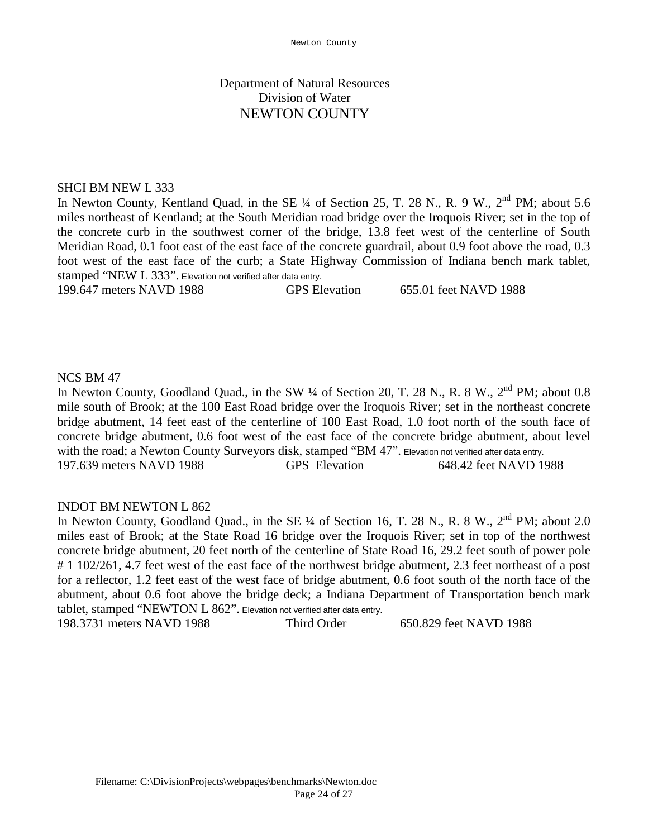#### SHCI BM NEW L 333

In Newton County, Kentland Quad, in the SE  $\frac{1}{4}$  of Section 25, T. 28 N., R. 9 W., 2<sup>nd</sup> PM; about 5.6 miles northeast of Kentland; at the South Meridian road bridge over the Iroquois River; set in the top of the concrete curb in the southwest corner of the bridge, 13.8 feet west of the centerline of South Meridian Road, 0.1 foot east of the east face of the concrete guardrail, about 0.9 foot above the road, 0.3 foot west of the east face of the curb; a State Highway Commission of Indiana bench mark tablet, stamped "NEW L 333". Elevation not verified after data entry.

199.647 meters NAVD 1988 GPS Elevation 655.01 feet NAVD 1988

#### NCS BM 47

In Newton County, Goodland Quad., in the SW 1/4 of Section 20, T. 28 N., R. 8 W., 2<sup>nd</sup> PM; about 0.8 mile south of Brook; at the 100 East Road bridge over the Iroquois River; set in the northeast concrete bridge abutment, 14 feet east of the centerline of 100 East Road, 1.0 foot north of the south face of concrete bridge abutment, 0.6 foot west of the east face of the concrete bridge abutment, about level with the road; a Newton County Surveyors disk, stamped "BM 47". Elevation not verified after data entry. 197.639 meters NAVD 1988 GPS Elevation 648.42 feet NAVD 1988

#### INDOT BM NEWTON L 862

In Newton County, Goodland Quad., in the SE 1/4 of Section 16, T. 28 N., R. 8 W., 2<sup>nd</sup> PM; about 2.0 miles east of Brook; at the State Road 16 bridge over the Iroquois River; set in top of the northwest concrete bridge abutment, 20 feet north of the centerline of State Road 16, 29.2 feet south of power pole # 1 102/261, 4.7 feet west of the east face of the northwest bridge abutment, 2.3 feet northeast of a post for a reflector, 1.2 feet east of the west face of bridge abutment, 0.6 foot south of the north face of the abutment, about 0.6 foot above the bridge deck; a Indiana Department of Transportation bench mark tablet, stamped "NEWTON L 862". Elevation not verified after data entry. 198.3731 meters NAVD 1988 Third Order 650.829 feet NAVD 1988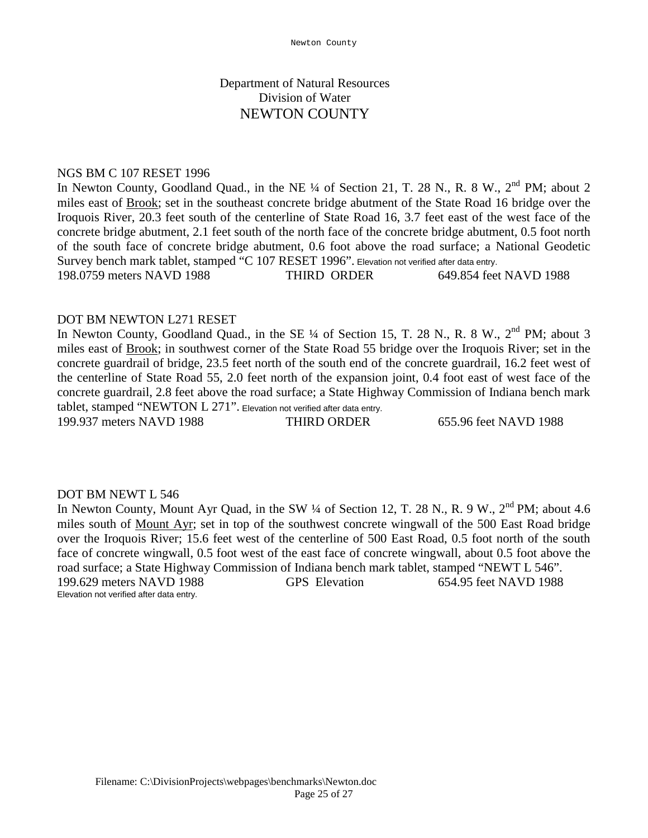### NGS BM C 107 RESET 1996

In Newton County, Goodland Quad., in the NE ¼ of Section 21, T. 28 N., R. 8 W., 2<sup>nd</sup> PM; about 2 miles east of Brook; set in the southeast concrete bridge abutment of the State Road 16 bridge over the Iroquois River, 20.3 feet south of the centerline of State Road 16, 3.7 feet east of the west face of the concrete bridge abutment, 2.1 feet south of the north face of the concrete bridge abutment, 0.5 foot north of the south face of concrete bridge abutment, 0.6 foot above the road surface; a National Geodetic Survey bench mark tablet, stamped "C 107 RESET 1996". Elevation not verified after data entry. 198.0759 meters NAVD 1988 THIRD ORDER 649.854 feet NAVD 1988

#### DOT BM NEWTON L271 RESET

In Newton County, Goodland Quad., in the SE 1/4 of Section 15, T. 28 N., R. 8 W., 2<sup>nd</sup> PM; about 3 miles east of Brook; in southwest corner of the State Road 55 bridge over the Iroquois River; set in the concrete guardrail of bridge, 23.5 feet north of the south end of the concrete guardrail, 16.2 feet west of the centerline of State Road 55, 2.0 feet north of the expansion joint, 0.4 foot east of west face of the concrete guardrail, 2.8 feet above the road surface; a State Highway Commission of Indiana bench mark tablet, stamped "NEWTON L 271". Elevation not verified after data entry. 199.937 meters NAVD 1988 THIRD ORDER 655.96 feet NAVD 1988

#### DOT BM NEWT L 546

In Newton County, Mount Ayr Quad, in the SW  $\frac{1}{4}$  of Section 12, T. 28 N., R. 9 W., 2<sup>nd</sup> PM; about 4.6 miles south of Mount Ayr; set in top of the southwest concrete wingwall of the 500 East Road bridge over the Iroquois River; 15.6 feet west of the centerline of 500 East Road, 0.5 foot north of the south face of concrete wingwall, 0.5 foot west of the east face of concrete wingwall, about 0.5 foot above the road surface; a State Highway Commission of Indiana bench mark tablet, stamped "NEWT L 546". 199.629 meters NAVD 1988 GPS Elevation 654.95 feet NAVD 1988 Elevation not verified after data entry.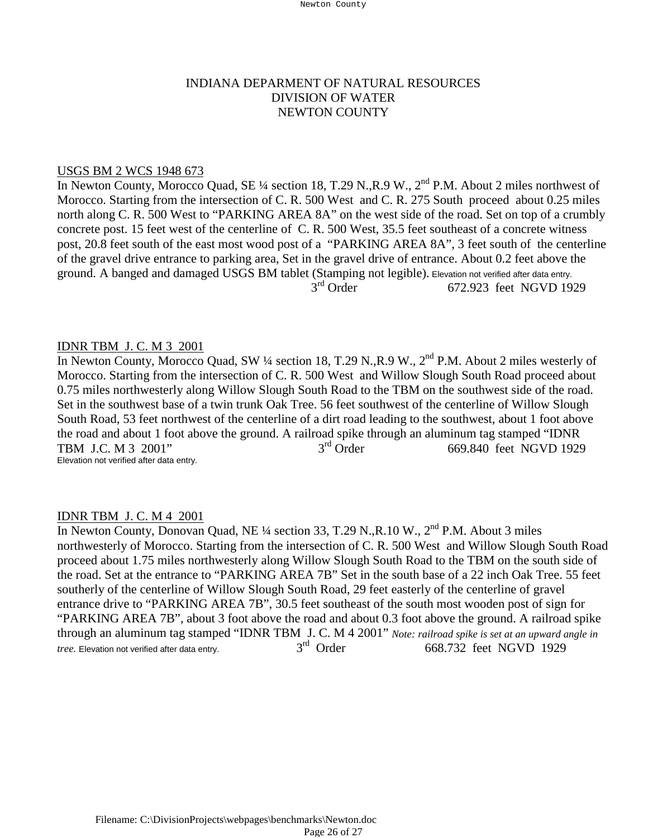# INDIANA DEPARMENT OF NATURAL RESOURCES DIVISION OF WATER NEWTON COUNTY

# USGS BM 2 WCS 1948 673

In Newton County, Morocco Quad, SE ¼ section 18, T.29 N., R.9 W., 2<sup>nd</sup> P.M. About 2 miles northwest of Morocco. Starting from the intersection of C. R. 500 West and C. R. 275 South proceed about 0.25 miles north along C. R. 500 West to "PARKING AREA 8A" on the west side of the road. Set on top of a crumbly concrete post. 15 feet west of the centerline of C. R. 500 West, 35.5 feet southeast of a concrete witness post, 20.8 feet south of the east most wood post of a "PARKING AREA 8A", 3 feet south of the centerline of the gravel drive entrance to parking area, Set in the gravel drive of entrance. About 0.2 feet above the ground. A banged and damaged USGS BM tablet (Stamping not legible). Elevation not verified after data entry.<br>3<sup>rd</sup> Order 672.923 feet NGVD 199 672.923 feet NGVD 1929

# IDNR TBM J. C. M 3 2001

In Newton County, Morocco Quad, SW 1/4 section 18, T.29 N., R.9 W., 2<sup>nd</sup> P.M. About 2 miles westerly of Morocco. Starting from the intersection of C. R. 500 West and Willow Slough South Road proceed about 0.75 miles northwesterly along Willow Slough South Road to the TBM on the southwest side of the road. Set in the southwest base of a twin trunk Oak Tree. 56 feet southwest of the centerline of Willow Slough South Road, 53 feet northwest of the centerline of a dirt road leading to the southwest, about 1 foot above the road and about 1 foot above the ground. A railroad spike through an aluminum tag stamped "IDNR<br>TBM J.C. M 3 2001"<br> $3^{rd}$  Order 669 840 feet NGVD 1929 TBM J.C. M 3 2001" 3<sup>rd</sup> Order 569.840 feet NGVD 1929 Elevation not verified after data entry.

#### IDNR TBM J. C. M 4 2001

In Newton County, Donovan Quad, NE ¼ section 33, T.29 N., R.10 W., 2<sup>nd</sup> P.M. About 3 miles northwesterly of Morocco. Starting from the intersection of C. R. 500 West and Willow Slough South Road proceed about 1.75 miles northwesterly along Willow Slough South Road to the TBM on the south side of the road. Set at the entrance to "PARKING AREA 7B" Set in the south base of a 22 inch Oak Tree. 55 feet southerly of the centerline of Willow Slough South Road, 29 feet easterly of the centerline of gravel entrance drive to "PARKING AREA 7B", 30.5 feet southeast of the south most wooden post of sign for "PARKING AREA 7B", about 3 foot above the road and about 0.3 foot above the ground. A railroad spike through an aluminum tag stamped "IDNR TBM J. C. M 4 2001" *Note: railroad spike is set at an upward angle in*<br>tree. Flevation not verified after data entry.<br> $3^{\text{rd}}$  Order 668.732 feet NGVD 1929 *tree.* Elevation not verified after data entry.  $3<sup>rd</sup>$  Order 668.732 feet NGVD 1929